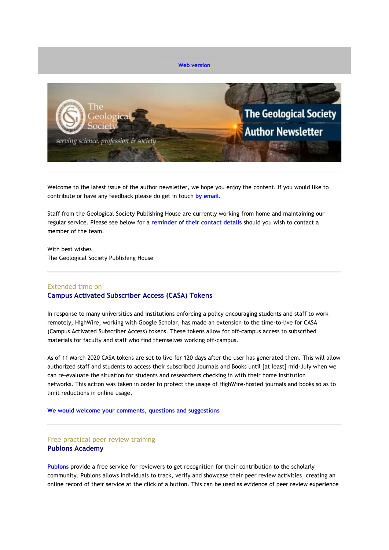

Welcome to the latest issue of the author newsletter, we hope you enjoy the content. If you would like to contribute or have any feedback please do get in touch **[by email](mailto:marketing@geolsoc.org.uk?subject=Author%20Newsletter)**.

Staff from the Geological Society Publishing House are currently working from home and maintaining our regular service. Please see below for a **[reminder of their contact details](#page-4-0)** should you wish to contact a member of the team.

With best wishes The Geological Society Publishing House

## Extended time on **Campus Activated Subscriber Access (CASA) Tokens**

In response to many universities and institutions enforcing a policy encouraging students and staff to work remotely, HighWire, working with Google Scholar, has made an extension to the time-to-live for CASA (Campus Activated Subscriber Access) tokens. These tokens allow for off-campus access to subscribed materials for faculty and staff who find themselves working off-campus.

As of 11 March 2020 CASA tokens are set to live for 120 days after the user has generated them. This will allow authorized staff and students to access their subscribed Journals and Books until [at least] mid-July when we can re-evaluate the situation for students and researchers checking in with their home institution networks. This action was taken in order to protect the usage of HighWire-hosted journals and books so as to limit reductions in online usage.

**[We would welcome your comments, questions and suggestions](mailto:hello@geolsoc.org.uk?subject=CASA%20Tokens)**

# Free practical peer review training **Publons Academy**

**[Publons](https://eur01.safelinks.protection.outlook.com/?url=http%3A%2F%2Fgeologicalsociety.msgfocus.com%2Fc%2F14ih0g2lEOWUnliqLpoO&data=02%7C01%7Clucy.pullen%40geolsoc.org.uk%7Cb78d5c55995345ca5d8508d7f5b59d4b%7C8793af0570194bd4bcbe1895301e92f9%7C0%7C0%7C637248032685790295&sdata=oZlUP4pmzNftYRadHlvXXMpOm3PItoC4Ho5xvGG2GQw%3D&reserved=0)** provide a free service for reviewers to get recognition for their contribution to the scholarly community. Publons allows individuals to track, verify and showcase their peer review activities, creating an online record of their service at the click of a button. This can be used as evidence of peer review experience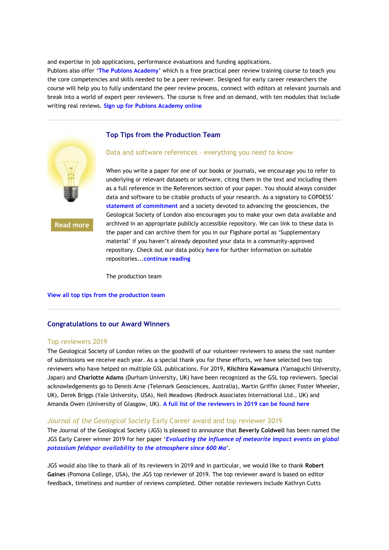and expertise in job applications, performance evaluations and funding applications. Publons also offer '**[The Publons Academy](https://eur01.safelinks.protection.outlook.com/?url=http%3A%2F%2Fgeologicalsociety.msgfocus.com%2Fc%2F14ih1O8ApSWTi5HeZQZV&data=02%7C01%7Clucy.pullen%40geolsoc.org.uk%7Cb78d5c55995345ca5d8508d7f5b59d4b%7C8793af0570194bd4bcbe1895301e92f9%7C0%7C0%7C637248032685790295&sdata=GH59dNAZ2TIvY8I0DhnqL%2BcSR2mlmBS43cvm%2FVi2DMw%3D&reserved=0)**' which is a free practical peer review training course to teach you the core competencies and skills needed to be a peer reviewer. Designed for early career researchers the course will help you to fully understand the peer review process, connect with editors at relevant journals and break into a world of expert peer reviewers. The course is free and on demand, with ten modules that include writing real reviews. **[Sign up for Publons Academy online](https://eur01.safelinks.protection.outlook.com/?url=http%3A%2F%2Fgeologicalsociety.msgfocus.com%2Fc%2F14ih3mePaWWScQ63eiB2&data=02%7C01%7Clucy.pullen%40geolsoc.org.uk%7Cb78d5c55995345ca5d8508d7f5b59d4b%7C8793af0570194bd4bcbe1895301e92f9%7C0%7C0%7C637248032685790295&sdata=zrJXT%2F0WKsQKaM6USvXWZny6gakhQGlm2A%2BVTCMb3GY%3D&reserved=0)**

#### **Top Tips from the Production Team**



**[Read more](https://eur01.safelinks.protection.outlook.com/?url=http%3A%2F%2Fgeologicalsociety.msgfocus.com%2Fc%2F14ih6sriH4WQ2kTFHbNg&data=02%7C01%7Clucy.pullen%40geolsoc.org.uk%7Cb78d5c55995345ca5d8508d7f5b59d4b%7C8793af0570194bd4bcbe1895301e92f9%7C0%7C0%7C637248032685800242&sdata=epo4q7hOTY%2BIyE5h0fbEIXsGL2uWfBjtXWwmNo%2FC4zQ%3D&reserved=0)**

#### Data and software references – everything you need to know

When you write a paper for one of our books or journals, we encourage you to refer to underlying or relevant datasets or software, citing them in the text and including them as a full reference in the References section of your paper. You should always consider data and software to be citable products of your research. As a signatory to COPDESS' **[statement of commitment](https://eur01.safelinks.protection.outlook.com/?url=http%3A%2F%2Fgeologicalsociety.msgfocus.com%2Fc%2F14ih80xxs8WOX5itVDon&data=02%7C01%7Clucy.pullen%40geolsoc.org.uk%7Cb78d5c55995345ca5d8508d7f5b59d4b%7C8793af0570194bd4bcbe1895301e92f9%7C0%7C0%7C637248032685810197&sdata=ZSGHFlkifa%2BTNjtD%2FjCibkHugeUAE%2FyxgicuR8p2pFg%3D&reserved=0)** and a society devoted to advancing the geosciences, the Geological Society of London also encourages you to make your own data available and archived in an appropriate publicly accessible repository. We can link to these data in the paper and can archive them for you in our Figshare portal as 'Supplementary material' if you haven't already deposited your data in a community-approved repository. Check out our data policy **[here](https://eur01.safelinks.protection.outlook.com/?url=http%3A%2F%2Fgeologicalsociety.msgfocus.com%2Fc%2F14ih9yDMdcWNRPHia4Zu&data=02%7C01%7Clucy.pullen%40geolsoc.org.uk%7Cb78d5c55995345ca5d8508d7f5b59d4b%7C8793af0570194bd4bcbe1895301e92f9%7C0%7C0%7C637248032685810197&sdata=v1ysc54p0IQZqqqzfN857ls936kEJ%2BGMcPb4S6NSE9I%3D&reserved=0)** for further information on suitable repositories...**[continue reading](https://eur01.safelinks.protection.outlook.com/?url=http%3A%2F%2Fgeologicalsociety.msgfocus.com%2Fc%2F14ihcEQfJkWLHkuUCYbI&data=02%7C01%7Clucy.pullen%40geolsoc.org.uk%7Cb78d5c55995345ca5d8508d7f5b59d4b%7C8793af0570194bd4bcbe1895301e92f9%7C0%7C0%7C637248032685810197&sdata=AYt4%2BJdSV3hgvL%2FiDdXPG%2Fhj060Ja0Oe1K%2Bc%2FeLH3g8%3D&reserved=0)**

The production team

#### **[View all top tips from the production team](https://eur01.safelinks.protection.outlook.com/?url=http%3A%2F%2Fgeologicalsociety.msgfocus.com%2Fc%2F14ihecWuuoWKC4TIRpMP&data=02%7C01%7Clucy.pullen%40geolsoc.org.uk%7Cb78d5c55995345ca5d8508d7f5b59d4b%7C8793af0570194bd4bcbe1895301e92f9%7C0%7C0%7C637248032685820163&sdata=G8wC%2F2FGvzo8PVITkWUqDZJGZfktPmHP5KpH1XjbO6s%3D&reserved=0)**

#### **Congratulations to our Award Winners**

#### Top reviewers 2019

The Geological Society of London relies on the goodwill of our volunteer reviewers to assess the vast number of submissions we receive each year. As a special thank you for these efforts, we have selected two top reviewers who have helped on multiple GSL publications. For 2019, **Kiichiro Kawamura** (Yamaguchi University, Japan) and **Charlotte Adams** (Durham University, UK) have been recognized as the GSL top reviewers. Special acknowledgements go to Dennis Arne (Telemark Geosciences, Australia), Martin Griffin (Amec Foster Wheeler, UK), Derek Briggs (Yale University, USA), Neil Meadows (Redrock Associates International Ltd., UK) and Amanda Owen (University of Glasgow, UK). **[A full list of the reviewers in 2019 can be found here](https://eur01.safelinks.protection.outlook.com/?url=http%3A%2F%2Fgeologicalsociety.msgfocus.com%2Fc%2F14ihfL2JfsWJwPix5RnW&data=02%7C01%7Clucy.pullen%40geolsoc.org.uk%7Cb78d5c55995345ca5d8508d7f5b59d4b%7C8793af0570194bd4bcbe1895301e92f9%7C0%7C0%7C637248032685820163&sdata=5WygEb%2FOx0bqQ49dI4hMRo5F44rynxpKpjfr%2BdWe%2F%2Bk%3D&reserved=0)**

#### *Journal of the Geological Society* Early Career award and top reviewer 2019

The Journal of the Geological Society (JGS) is pleased to announce that **Beverly Coldwell** has been named the JGS Early Career winner 2019 for her paper '*[Evaluating the influence of meteorite impact events on global](https://eur01.safelinks.protection.outlook.com/?url=http%3A%2F%2Fgeologicalsociety.msgfocus.com%2Fc%2F14ihhj8Y0wWIrzHlkiZ3&data=02%7C01%7Clucy.pullen%40geolsoc.org.uk%7Cb78d5c55995345ca5d8508d7f5b59d4b%7C8793af0570194bd4bcbe1895301e92f9%7C0%7C0%7C637248032685820163&sdata=aNg2CTG11vkaXHixUrP%2Bw4Kdj5dxPa5Uz6GIo02At2U%3D&reserved=0)  [potassium feldspar availability to the atmosphere since 600](https://eur01.safelinks.protection.outlook.com/?url=http%3A%2F%2Fgeologicalsociety.msgfocus.com%2Fc%2F14ihhj8Y0wWIrzHlkiZ3&data=02%7C01%7Clucy.pullen%40geolsoc.org.uk%7Cb78d5c55995345ca5d8508d7f5b59d4b%7C8793af0570194bd4bcbe1895301e92f9%7C0%7C0%7C637248032685820163&sdata=aNg2CTG11vkaXHixUrP%2Bw4Kdj5dxPa5Uz6GIo02At2U%3D&reserved=0) Ma*'.

JGS would also like to thank all of its reviewers in 2019 and in particular, we would like to thank **Robert Gaines** (Pomona College, USA), the JGS top reviewer of 2019. The top reviewer award is based on editor feedback, timeliness and number of reviews completed. Other notable reviewers include Kathryn Cutts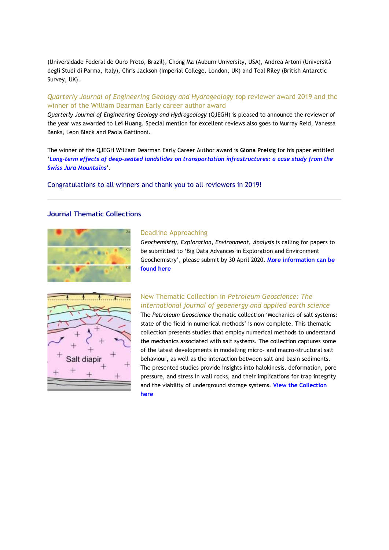(Universidade Federal de Ouro Preto, Brazil), Chong Ma (Auburn University, USA), Andrea Artoni (Università degli Studi di Parma, Italy), Chris Jackson (Imperial College, London, UK) and Teal Riley (British Antarctic Survey, UK).

# *Quarterly Journal of Engineering Geology and Hydrogeology t*op reviewer award 2019 and the winner of the William Dearman Early career author award

*Quarterly Journal of Engineering Geology and Hydrogeology* (QJEGH) is pleased to announce the reviewer of the year was awarded to **Lei Huang**. Special mention for excellent reviews also goes to Murray Reid, Vanessa Banks, Leon Black and Paola Gattinoni.

The winner of the QJEGH William Dearman Early Career Author award is **Giona Preisig** for his paper entitled '*[Long-term effects of deep-seated landslides on transportation infrastructures: a case study from the](https://eur01.safelinks.protection.outlook.com/?url=http%3A%2F%2Fgeologicalsociety.msgfocus.com%2Fc%2F14ihiRfcLAWHmk69yKAa&data=02%7C01%7Clucy.pullen%40geolsoc.org.uk%7Cb78d5c55995345ca5d8508d7f5b59d4b%7C8793af0570194bd4bcbe1895301e92f9%7C0%7C0%7C637248032685830112&sdata=lp4wiSXhrZIx0lt4sTP%2FPFLihYFsn%2Fk0F1f4XVvg4gc%3D&reserved=0)  [Swiss Jura Mountains](https://eur01.safelinks.protection.outlook.com/?url=http%3A%2F%2Fgeologicalsociety.msgfocus.com%2Fc%2F14ihiRfcLAWHmk69yKAa&data=02%7C01%7Clucy.pullen%40geolsoc.org.uk%7Cb78d5c55995345ca5d8508d7f5b59d4b%7C8793af0570194bd4bcbe1895301e92f9%7C0%7C0%7C637248032685830112&sdata=lp4wiSXhrZIx0lt4sTP%2FPFLihYFsn%2Fk0F1f4XVvg4gc%3D&reserved=0)*'.

Congratulations to all winners and thank you to all reviewers in 2019!

## **Journal Thematic Collections**



#### Deadline Approaching

*Geochemistry, Exploration, Environment, Analysis* is calling for papers to be submitted to 'Big Data Advances in Exploration and Environment Geochemistry', please submit by 30 April 2020. **[More information can be](https://eur01.safelinks.protection.outlook.com/?url=http%3A%2F%2Fgeologicalsociety.msgfocus.com%2Fc%2F14ihlXrGhIWFbOTM1DMo&data=02%7C01%7Clucy.pullen%40geolsoc.org.uk%7Cb78d5c55995345ca5d8508d7f5b59d4b%7C8793af0570194bd4bcbe1895301e92f9%7C0%7C0%7C637248032685840066&sdata=EFI8NIHIr1krPLq1TCBovZIpi9%2BSptXH0X%2BVfvUbRno%3D&reserved=0)  [found here](https://eur01.safelinks.protection.outlook.com/?url=http%3A%2F%2Fgeologicalsociety.msgfocus.com%2Fc%2F14ihlXrGhIWFbOTM1DMo&data=02%7C01%7Clucy.pullen%40geolsoc.org.uk%7Cb78d5c55995345ca5d8508d7f5b59d4b%7C8793af0570194bd4bcbe1895301e92f9%7C0%7C0%7C637248032685840066&sdata=EFI8NIHIr1krPLq1TCBovZIpi9%2BSptXH0X%2BVfvUbRno%3D&reserved=0)**



## New Thematic Collection in *Petroleum Geoscience: The international journal of geoenergy and applied earth science*

The *Petroleum Geoscience* thematic collection 'Mechanics of salt systems: state of the field in numerical methods' is now complete. This thematic collection presents studies that employ numerical methods to understand the mechanics associated with salt systems. The collection captures some of the latest developments in modelling micro- and macro-structural salt behaviour, as well as the interaction between salt and basin sediments. The presented studies provide insights into halokinesis, deformation, pore pressure, and stress in wall rocks, and their implications for trap integrity and the viability of underground storage systems. **[View the Collection](https://eur01.safelinks.protection.outlook.com/?url=http%3A%2F%2Fgeologicalsociety.msgfocus.com%2Fc%2F14ihp3E9NQWD1jHouwYC&data=02%7C01%7Clucy.pullen%40geolsoc.org.uk%7Cb78d5c55995345ca5d8508d7f5b59d4b%7C8793af0570194bd4bcbe1895301e92f9%7C0%7C0%7C637248032685840066&sdata=putuz6nGRBqXJX5AW7ZT8v3rgBuNHGCT66xyJ%2BLVK%2FA%3D&reserved=0)  [here](https://eur01.safelinks.protection.outlook.com/?url=http%3A%2F%2Fgeologicalsociety.msgfocus.com%2Fc%2F14ihp3E9NQWD1jHouwYC&data=02%7C01%7Clucy.pullen%40geolsoc.org.uk%7Cb78d5c55995345ca5d8508d7f5b59d4b%7C8793af0570194bd4bcbe1895301e92f9%7C0%7C0%7C637248032685840066&sdata=putuz6nGRBqXJX5AW7ZT8v3rgBuNHGCT66xyJ%2BLVK%2FA%3D&reserved=0)**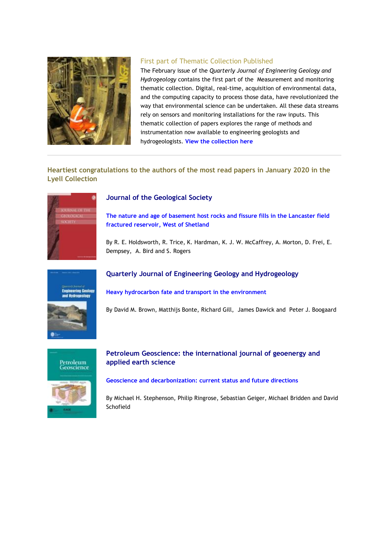

## First part of Thematic Collection Published

The February issue of the *Quarterly Journal of Engineering Geology and Hydrogeology* contains the first part of the Measurement and monitoring thematic collection. Digital, real-time, acquisition of environmental data, and the computing capacity to process those data, have revolutionized the way that environmental science can be undertaken. All these data streams rely on sensors and monitoring installations for the raw inputs. This thematic collection of papers explores the range of methods and instrumentation now available to engineering geologists and hydrogeologists. **[View the collection here](https://eur01.safelinks.protection.outlook.com/?url=http%3A%2F%2Fgeologicalsociety.msgfocus.com%2Fc%2F14ihtHWS52WzLyTPbRLX&data=02%7C01%7Clucy.pullen%40geolsoc.org.uk%7Cb78d5c55995345ca5d8508d7f5b59d4b%7C8793af0570194bd4bcbe1895301e92f9%7C0%7C0%7C637248032685850025&sdata=YBP3HJDBvHhjqmEkW%2BaYlgbhBxXk0tHDadW58tW7TuA%3D&reserved=0)**

# **Heartiest congratulations to the authors of the most read papers in January 2020 in the Lyell Collection**



## **Journal of the Geological Society**

**[The nature and age of basement host rocks and fissure fills in the Lancaster field](https://eur01.safelinks.protection.outlook.com/?url=http%3A%2F%2Fgeologicalsociety.msgfocus.com%2Fc%2F14ihwO9lBaWxB3HrEKYb&data=02%7C01%7Clucy.pullen%40geolsoc.org.uk%7Cb78d5c55995345ca5d8508d7f5b59d4b%7C8793af0570194bd4bcbe1895301e92f9%7C0%7C0%7C637248032685859980&sdata=sMPh3HJkJ%2Bx7gxkJoEB%2BGG4IMGY7i5cQMfXHpAoVoiA%3D&reserved=0)  [fractured reservoir, West of Shetland](https://eur01.safelinks.protection.outlook.com/?url=http%3A%2F%2Fgeologicalsociety.msgfocus.com%2Fc%2F14ihwO9lBaWxB3HrEKYb&data=02%7C01%7Clucy.pullen%40geolsoc.org.uk%7Cb78d5c55995345ca5d8508d7f5b59d4b%7C8793af0570194bd4bcbe1895301e92f9%7C0%7C0%7C637248032685859980&sdata=sMPh3HJkJ%2Bx7gxkJoEB%2BGG4IMGY7i5cQMfXHpAoVoiA%3D&reserved=0)**

By R. E. Holdsworth, R. Trice, K. Hardman, K. J. W. McCaffrey, A. Morton, D. Frei, E. Dempsey, A. Bird and S. Rogers



## **Quarterly Journal of Engineering Geology and Hydrogeology**

**[Heavy hydrocarbon fate and transport in the environment](https://eur01.safelinks.protection.outlook.com/?url=http%3A%2F%2Fgeologicalsociety.msgfocus.com%2Fc%2F14ihzUlP7iWvqyv47Eap&data=02%7C01%7Clucy.pullen%40geolsoc.org.uk%7Cb78d5c55995345ca5d8508d7f5b59d4b%7C8793af0570194bd4bcbe1895301e92f9%7C0%7C0%7C637248032685869941&sdata=jGtsqxQW%2FLPZWCYc4nGtQcjgPten0P5Daz%2BaaAqEaaE%3D&reserved=0)**

By David M. Brown, Matthijs Bonte, Richard Gill, James Dawick and Peter J. Boogaard



# **Petroleum Geoscience: the international journal of geoenergy and applied earth science**

**[Geoscience and decarbonization: current status and future directions](https://eur01.safelinks.protection.outlook.com/?url=http%3A%2F%2Fgeologicalsociety.msgfocus.com%2Fc%2F14ihD0yiDqWtg3iGAxmD&data=02%7C01%7Clucy.pullen%40geolsoc.org.uk%7Cb78d5c55995345ca5d8508d7f5b59d4b%7C8793af0570194bd4bcbe1895301e92f9%7C0%7C0%7C637248032685869941&sdata=Oap1flBowbjQ2WjKsEu4ZLeLIYYedf2uCCaGNhajq5g%3D&reserved=0)**

By Michael H. Stephenson, Philip Ringrose, Sebastian Geiger, Michael Bridden and David Schofield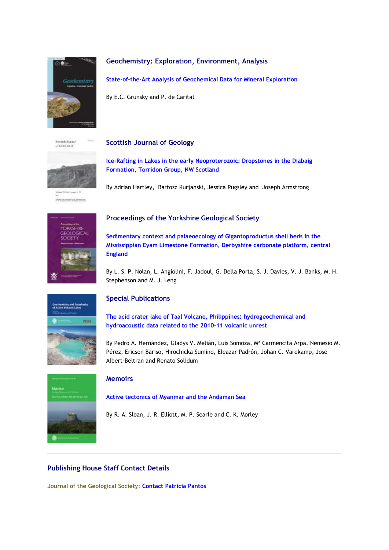

## **Geochemistry: Exploration, Environment, Analysis**

**[State-of-the-Art Analysis of Geochemical Data for Mineral Exploration](https://eur01.safelinks.protection.outlook.com/?url=http%3A%2F%2Fgeologicalsociety.msgfocus.com%2Fc%2F14ihG6KM9yWr5y6j3qyR&data=02%7C01%7Clucy.pullen%40geolsoc.org.uk%7Cb78d5c55995345ca5d8508d7f5b59d4b%7C8793af0570194bd4bcbe1895301e92f9%7C0%7C0%7C637248032685879896&sdata=fnwKsbbGpyJmtHPsYGKZa9ozzRi%2F0jDAuttbH8egOUU%3D&reserved=0)**

By E.C. Grunsky and P. de Caritat

Secritish Journal  $n$ GEOLOGY

## **Scottish Journal of Geology**



# **[Ice-Rafting in Lakes in the early Neoproterozoic: Dropstones in the Diabaig](https://eur01.safelinks.protection.outlook.com/?url=http%3A%2F%2Fgeologicalsociety.msgfocus.com%2Fc%2F14ihKL3uqKWnPNiJKLmc&data=02%7C01%7Clucy.pullen%40geolsoc.org.uk%7Cb78d5c55995345ca5d8508d7f5b59d4b%7C8793af0570194bd4bcbe1895301e92f9%7C0%7C0%7C637248032685889847&sdata=1eghRIyilq6EYyslOPNOBabtSeAWwZpRouED3kze%2FKo%3D&reserved=0)  [Formation, Torridon Group, NW Scotland](https://eur01.safelinks.protection.outlook.com/?url=http%3A%2F%2Fgeologicalsociety.msgfocus.com%2Fc%2F14ihKL3uqKWnPNiJKLmc&data=02%7C01%7Clucy.pullen%40geolsoc.org.uk%7Cb78d5c55995345ca5d8508d7f5b59d4b%7C8793af0570194bd4bcbe1895301e92f9%7C0%7C0%7C637248032685889847&sdata=1eghRIyilq6EYyslOPNOBabtSeAWwZpRouED3kze%2FKo%3D&reserved=0)**

By Adrian Hartley, Bartosz Kurjanski, Jessica Pugsley and Joseph Armstrong



# **Proceedings of the Yorkshire Geological Society**

**[Sedimentary context and palaeoecology of Gigantoproductus shell beds in the](https://eur01.safelinks.protection.outlook.com/?url=http%3A%2F%2Fgeologicalsociety.msgfocus.com%2Fc%2F14ihNRfXWSWlFi6mdEyq&data=02%7C01%7Clucy.pullen%40geolsoc.org.uk%7Cb78d5c55995345ca5d8508d7f5b59d4b%7C8793af0570194bd4bcbe1895301e92f9%7C0%7C0%7C637248032685899808&sdata=8EIVrBmRHphSiKLiN%2FQU4aQob9aZXHxHEeVlbyzd7hI%3D&reserved=0)  [Mississippian Eyam Limestone Formation, Derbyshire carbonate platform, central](https://eur01.safelinks.protection.outlook.com/?url=http%3A%2F%2Fgeologicalsociety.msgfocus.com%2Fc%2F14ihNRfXWSWlFi6mdEyq&data=02%7C01%7Clucy.pullen%40geolsoc.org.uk%7Cb78d5c55995345ca5d8508d7f5b59d4b%7C8793af0570194bd4bcbe1895301e92f9%7C0%7C0%7C637248032685899808&sdata=8EIVrBmRHphSiKLiN%2FQU4aQob9aZXHxHEeVlbyzd7hI%3D&reserved=0)  [England](https://eur01.safelinks.protection.outlook.com/?url=http%3A%2F%2Fgeologicalsociety.msgfocus.com%2Fc%2F14ihNRfXWSWlFi6mdEyq&data=02%7C01%7Clucy.pullen%40geolsoc.org.uk%7Cb78d5c55995345ca5d8508d7f5b59d4b%7C8793af0570194bd4bcbe1895301e92f9%7C0%7C0%7C637248032685899808&sdata=8EIVrBmRHphSiKLiN%2FQU4aQob9aZXHxHEeVlbyzd7hI%3D&reserved=0)**

By L. S. P. Nolan, L. Angiolini, F. Jadoul, G. Della Porta, S. J. Davies, V. J. Banks, M. H. Stephenson and M. J. Leng



# **Special Publications**

**[The acid crater lake of Taal Volcano, Philippines: hydrogeochemical and](https://eur01.safelinks.protection.outlook.com/?url=http%3A%2F%2Fgeologicalsociety.msgfocus.com%2Fc%2F14ihQXsrt0WjuMTYGxKE&data=02%7C01%7Clucy.pullen%40geolsoc.org.uk%7Cb78d5c55995345ca5d8508d7f5b59d4b%7C8793af0570194bd4bcbe1895301e92f9%7C0%7C0%7C637248032685899808&sdata=yeuzf7ekP63d7Q%2FKJMD2LqKQlutJmC%2BBnuXLI3gM8hs%3D&reserved=0)  [hydroacoustic data related to the 2010](https://eur01.safelinks.protection.outlook.com/?url=http%3A%2F%2Fgeologicalsociety.msgfocus.com%2Fc%2F14ihQXsrt0WjuMTYGxKE&data=02%7C01%7Clucy.pullen%40geolsoc.org.uk%7Cb78d5c55995345ca5d8508d7f5b59d4b%7C8793af0570194bd4bcbe1895301e92f9%7C0%7C0%7C637248032685899808&sdata=yeuzf7ekP63d7Q%2FKJMD2LqKQlutJmC%2BBnuXLI3gM8hs%3D&reserved=0)–11 volcanic unrest**

By Pedro A. Hernández, Gladys V. Melián, Luis Somoza, Mª Carmencita Arpa, Nemesio M. Pérez, Ericson Bariso, Hirochicka Sumino, Eleazar Padrón, Johan C. Varekamp, José Albert-Beltran and Renato Solidum



## **Memoirs**

**[Active tectonics of Myanmar and the Andaman Sea](https://eur01.safelinks.protection.outlook.com/?url=http%3A%2F%2Fgeologicalsociety.msgfocus.com%2Fc%2F14ihU3EUZ8WhkhHB9qWS&data=02%7C01%7Clucy.pullen%40geolsoc.org.uk%7Cb78d5c55995345ca5d8508d7f5b59d4b%7C8793af0570194bd4bcbe1895301e92f9%7C0%7C0%7C637248032685909761&sdata=nK5dYx92hLkuL8D4B%2BI6K2q8M7L3aJu3G18nDHFowro%3D&reserved=0)**

<span id="page-4-0"></span>By R. A. Sloan, J. R. Elliott, M. P. Searle and C. K. Morley

# **Publishing House Staff Contact Details**

**Journal of the Geological Society**: **[Contact Patricia Pantos](mailto:jgs@geolsoc.org.uk)**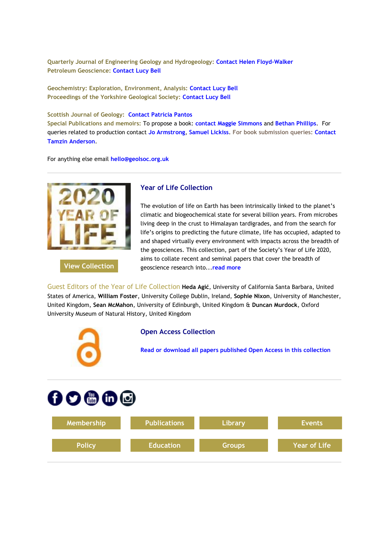**Quarterly Journal of Engineering Geology and Hydrogeology[:](https://eur01.safelinks.protection.outlook.com/?url=http%3A%2F%2Fgeologicalsociety.msgfocus.com%2Fc%2F14ihVBL9KcWgf26pnSxZ&data=02%7C01%7Clucy.pullen%40geolsoc.org.uk%7Cb78d5c55995345ca5d8508d7f5b59d4b%7C8793af0570194bd4bcbe1895301e92f9%7C0%7C0%7C637248032685919713&sdata=yAFuHNkkNgT3Eof6ftCgO67rAWZrLTHjtZ1so6n%2FSos%3D&reserved=0) [Contact Helen Floyd-Walker](https://eur01.safelinks.protection.outlook.com/?url=http%3A%2F%2Fgeologicalsociety.msgfocus.com%2Fc%2F14ihVBL9KcWgf26pnSxZ&data=02%7C01%7Clucy.pullen%40geolsoc.org.uk%7Cb78d5c55995345ca5d8508d7f5b59d4b%7C8793af0570194bd4bcbe1895301e92f9%7C0%7C0%7C637248032685919713&sdata=yAFuHNkkNgT3Eof6ftCgO67rAWZrLTHjtZ1so6n%2FSos%3D&reserved=0) Petroleum Geoscience: [Contact Lucy Bell](mailto:pg@geolsoc.org.uk)**

**Geochemistry: Exploration, Environment, Analysis: [Contact Lucy Bell](mailto:geea@geolsoc.org.uk) Proceedings of the Yorkshire Geological Society: [Contact Lucy Bell](mailto:pygs@geolsoc.org.uk)**

#### **Scottish Journal of Geology: [Contact Patricia Pantos](mailto:sjg@geolsoc.org.uk)**

**Special Publications and memoirs:** To propose a book: **[contact Maggie Simmons](mailto:maggie.simmons@geolsoc.org.uk)** and **[Bethan Phillips](mailto:bethan.phillips@geolsoc.org.uk)**. For queries related to production contact **[Jo Armstrong](mailto:jo.armstrong@geolsoc.org.uk)**, **[Samuel Lickiss](mailto:samuel.lickiss@geolsoc.org.uk)**. **For book submission queries: [Contact](mailto:EditorialOffice@geolsoc.org.uk)  [Tamzin Anderson](mailto:EditorialOffice@geolsoc.org.uk)**.

For anything else email **[hello@geolsoc.org.uk](mailto:hello@geolsoc.org.uk)**



**[View Collection](https://eur01.safelinks.protection.outlook.com/?url=http%3A%2F%2Fgeologicalsociety.msgfocus.com%2Fc%2F14ihYHXDgkWe4wU1QLKd&data=02%7C01%7Clucy.pullen%40geolsoc.org.uk%7Cb78d5c55995345ca5d8508d7f5b59d4b%7C8793af0570194bd4bcbe1895301e92f9%7C0%7C0%7C637248032685919713&sdata=he2WMSzAR%2BiE%2F4gFVqce16kh1KwCFu3HJ86dFixLrA0%3D&reserved=0)**

#### **Year of Life Collection**

The evolution of life on Earth has been intrinsically linked to the planet's climatic and biogeochemical state for several billion years. From microbes living deep in the crust to Himalayan tardigrades, and from the search for life's origins to predicting the future climate, life has occupied, adapted to and shaped virtually every environment with impacts across the breadth of the geosciences. This collection, part of the Society's Year of Life 2020, aims to collate recent and seminal papers that cover the breadth of geoscience research into...**[read more](https://eur01.safelinks.protection.outlook.com/?url=http%3A%2F%2Fgeologicalsociety.msgfocus.com%2Fc%2F14ii1Oa6MsWbU1HEjEWr&data=02%7C01%7Clucy.pullen%40geolsoc.org.uk%7Cb78d5c55995345ca5d8508d7f5b59d4b%7C8793af0570194bd4bcbe1895301e92f9%7C0%7C0%7C637248032685929676&sdata=0N3CRwDZGlCT%2BPqjufxtdWYxWIJ%2BzSziVxzQX8FDBws%3D&reserved=0)**

Guest Editors of the Year of Life Collection **Heda Agić**, University of California Santa Barbara, United States of America, **William Foster**, University College Dublin, Ireland, **Sophie Nixon**, University of Manchester, United Kingdom, **Sean McMahon**, University of Edinburgh, United Kingdom & **Duncan Murdock**, Oxford University Museum of Natural History, United Kingdom



#### **Open Access Collection**

**[Read or download all papers published Open Access in this collection](https://eur01.safelinks.protection.outlook.com/?url=http%3A%2F%2Fgeologicalsociety.msgfocus.com%2Fc%2F14ii4UmAiAW9JwvgMy8F&data=02%7C01%7Clucy.pullen%40geolsoc.org.uk%7Cb78d5c55995345ca5d8508d7f5b59d4b%7C8793af0570194bd4bcbe1895301e92f9%7C0%7C0%7C637248032685929676&sdata=pKgPwa3Z%2FIrIoCKi2Dw5dmltnhIBtyQKwSHy6q2mTBY%3D&reserved=0)**

# $0$  0 0 0 0

| Membership    | <b>Publications</b> | Library       | <b>Events</b>       |
|---------------|---------------------|---------------|---------------------|
| <b>Policy</b> | <b>Education</b>    | <b>Groups</b> | <b>Year of Life</b> |